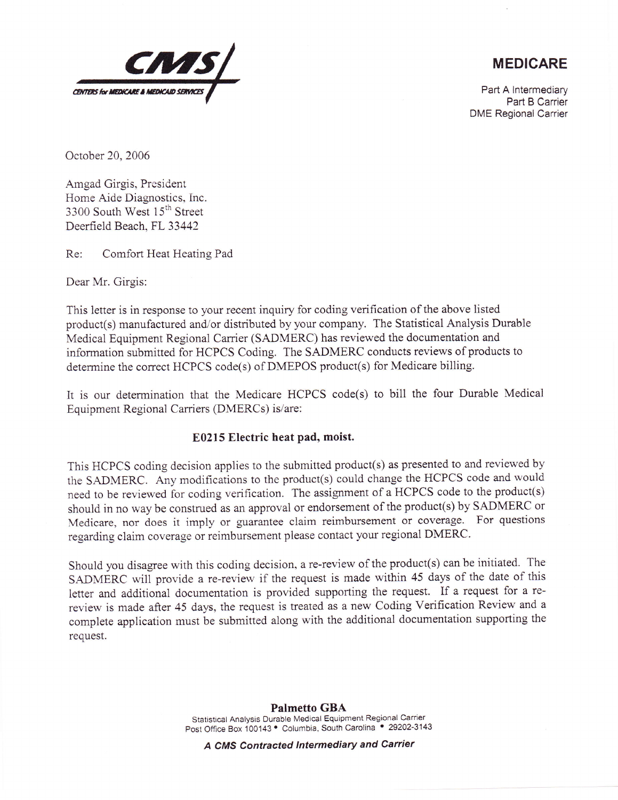

## MEDICARE

Part A lntermediary Part B Carrier DME Regional Carrier

October 20,2006

Amgad Girgis, President Home Aide Diagnostics, Inc. 3300 South West 15<sup>th</sup> Street Deerfield Beach, FL 33442

Re: Comfort Heat Heating Pad

Dear Mr. Girgis:

This letter is in response to your recent inquiry for coding verification of the above listed product(s) manufactured and/or distributed by your company. The Statistical Analysis Durable Medical Equipment Regional Carrier (SADMERC) has reviewed the documentation and information submitted for HCPCS Coding. The SADMERC conducts reviews of products to determine the correct HCPCS code(s) of DMEPOS product(s) for Medicare billing.

it is our determination that the Medicare HCPCS code(s) to bill the four Durable Medical Equipment Regional Carriers (DMERCs) is/are:

## E0215 Electric heat pad, moist.

This HCPCS coding decision applies to the submitted product(s) as presented to and reviewed by the SADMERC. Any modifications to the product(s) could change the HCPCS code and would need to be reviewed for coding verification, The assignment of a HCPCS code to the product(s) should in no way be construed as an approval or endorsement of the product(s) by SADMERC or Medicare, nor does it imply or guarantee claim reimbursement or coverage. For questions regarding claim coverage or reimbursement piease contact your regional DMERC.

Should you disagree with this coding decision, a re-review of the product(s) can be initiated. The SADMERC will provide a re-review if the request is made within 45 days of the date of this letter and additional documentation is provided supporting the request. If a request for a rereview is made after 45 days, the request is treated as a new Coding Verification Review and <sup>a</sup> complete application must be submitted along with the additional documentation supporting the request.

## Palmetto GBA Statistical Analysis Durable Medical Equipment Regional Carrier Post Office Box 100143 . Columbia, South Carolina . 29202-3143

A CMS Contracted lntermediary and Carrier